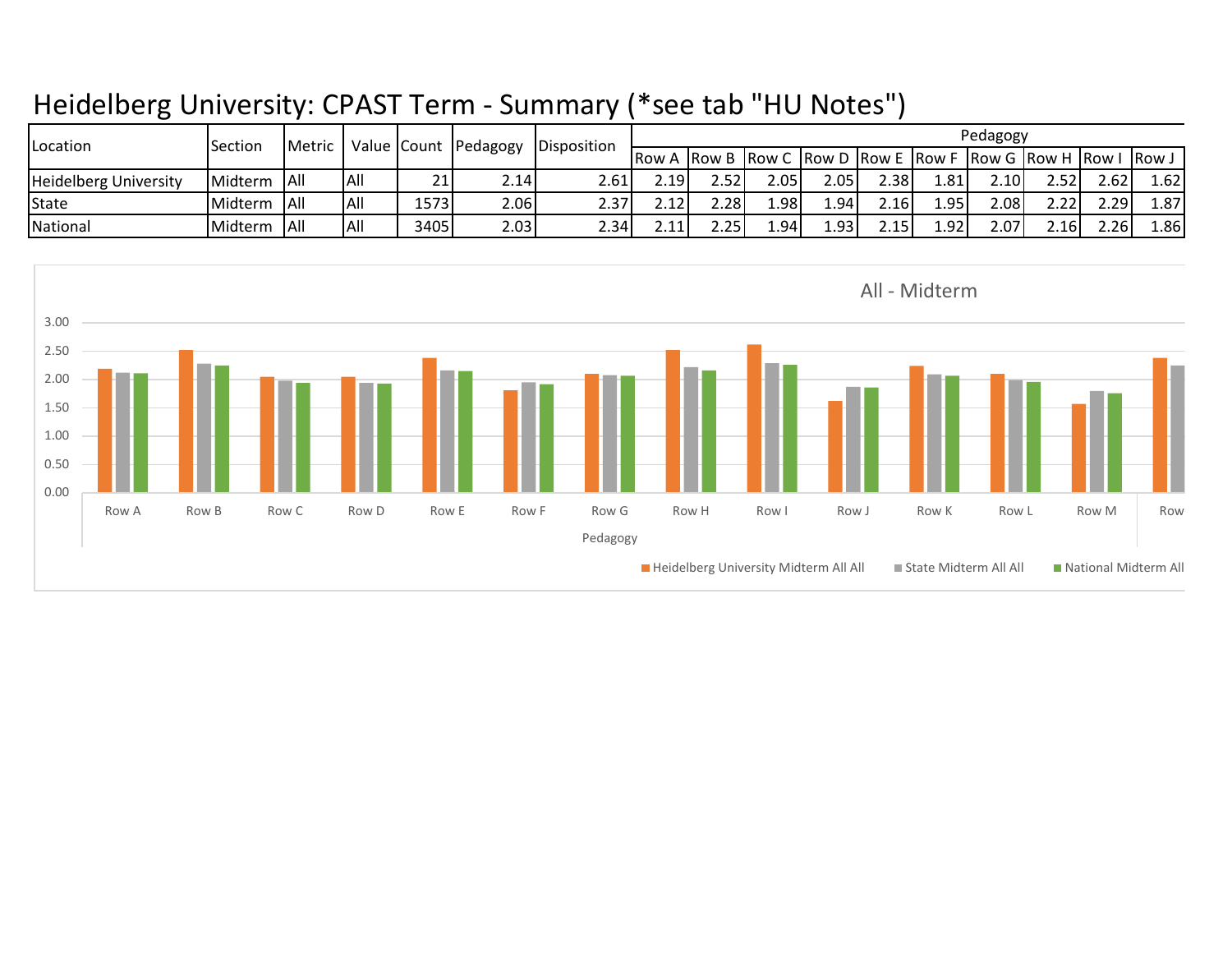## Heidelberg University: CPAST Term - Summary (\*see tab "HU Notes")

| <b>ILocation</b>             | Section | Metric      |            |      |       | Value Count Pedagogy Disposition | Pedagogy |       |       |        |       |       |                                                                    |        |      |       |
|------------------------------|---------|-------------|------------|------|-------|----------------------------------|----------|-------|-------|--------|-------|-------|--------------------------------------------------------------------|--------|------|-------|
|                              |         |             |            |      |       |                                  |          |       |       |        |       |       | <b>Row A Row B Row C Row D Row E Row F Row G Row H Row I Row J</b> |        |      |       |
| <b>Heidelberg University</b> | Midterm | <b>AII</b>  | IAII       | 21   | 2.141 | 2.61 I                           | 2.191    | 2.521 | 2.05I | 2.051  | 2.38I | ا81.1 | 2.10I                                                              | 2.52 l | 2.62 | 1.621 |
| State                        | Midterm | <b>JAIL</b> | IAII       | 1573 | 2.06  | 2.37                             | 2.12     | 2.28l | 981   | 1.94 l | 2.16I | ∫95.⊥ | 2.08l                                                              | 2.22   | 2.29 | 1.87  |
| National                     | Midterm | <b>AII</b>  | <b>All</b> | 3405 | 2.03  | 2.34                             | 2.11     | 2.25  | 1.94  | 1.931  | 2.15I | 1.921 | 2.07I                                                              | 2.16   | 2.26 | 1.86I |